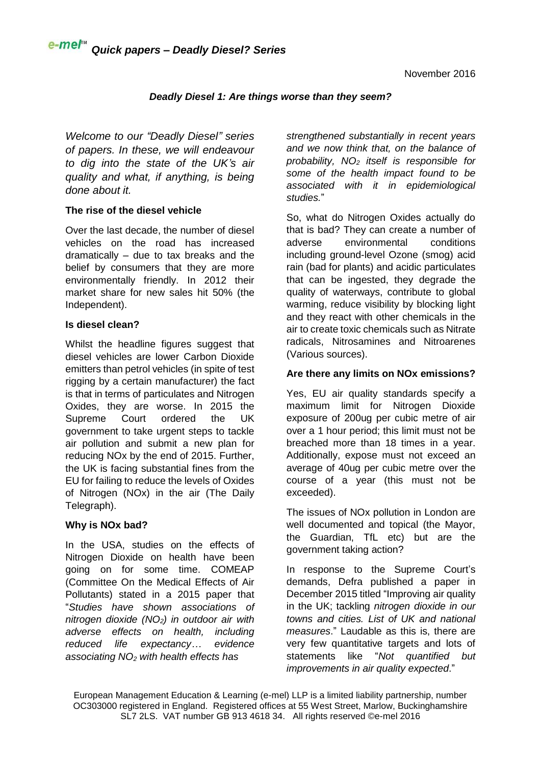### *Deadly Diesel 1: Are things worse than they seem?*

*Welcome to our "Deadly Diesel" series of papers. In these, we will endeavour to dig into the state of the UK's air quality and what, if anything, is being done about it.*

# **The rise of the diesel vehicle**

Over the last decade, the number of diesel vehicles on the road has increased dramatically – due to tax breaks and the belief by consumers that they are more environmentally friendly. In 2012 their market share for new sales hit 50% (the Independent).

### **Is diesel clean?**

Whilst the headline figures suggest that diesel vehicles are lower Carbon Dioxide emitters than petrol vehicles (in spite of test rigging by a certain manufacturer) the fact is that in terms of particulates and Nitrogen Oxides, they are worse. In 2015 the Supreme Court ordered the UK government to take urgent steps to tackle air pollution and submit a new plan for reducing NOx by the end of 2015. Further, the UK is facing substantial fines from the EU for failing to reduce the levels of Oxides of Nitrogen (NOx) in the air (The Daily Telegraph).

### **Why is NOx bad?**

In the USA, studies on the effects of Nitrogen Dioxide on health have been going on for some time. COMEAP (Committee On the Medical Effects of Air Pollutants) stated in a 2015 paper that "*Studies have shown associations of nitrogen dioxide (NO2) in outdoor air with adverse effects on health, including reduced life expectancy… evidence associating NO<sup>2</sup> with health effects has*

*strengthened substantially in recent years and we now think that, on the balance of probability, NO<sup>2</sup> itself is responsible for some of the health impact found to be associated with it in epidemiological studies.*"

So, what do Nitrogen Oxides actually do that is bad? They can create a number of adverse environmental conditions including ground-level Ozone (smog) acid rain (bad for plants) and acidic particulates that can be ingested, they degrade the quality of waterways, contribute to global warming, reduce visibility by blocking light and they react with other chemicals in the air to create toxic chemicals such as Nitrate radicals, Nitrosamines and Nitroarenes (Various sources).

# **Are there any limits on NOx emissions?**

Yes, EU air quality standards specify a maximum limit for Nitrogen Dioxide exposure of 200ug per cubic metre of air over a 1 hour period; this limit must not be breached more than 18 times in a year. Additionally, expose must not exceed an average of 40ug per cubic metre over the course of a year (this must not be exceeded).

The issues of NOx pollution in London are well documented and topical (the Mayor, the Guardian, TfL etc) but are the government taking action?

In response to the Supreme Court's demands, Defra published a paper in December 2015 titled "Improving air quality in the UK; tackling *nitrogen dioxide in our towns and cities. List of UK and national measures*." Laudable as this is, there are very few quantitative targets and lots of statements like "*Not quantified but improvements in air quality expected*."

European Management Education & Learning (e-mel) LLP is a limited liability partnership, number OC303000 registered in England. Registered offices at 55 West Street, Marlow, Buckinghamshire SL7 2LS. VAT number GB 913 4618 34. All rights reserved ©e-mel 2016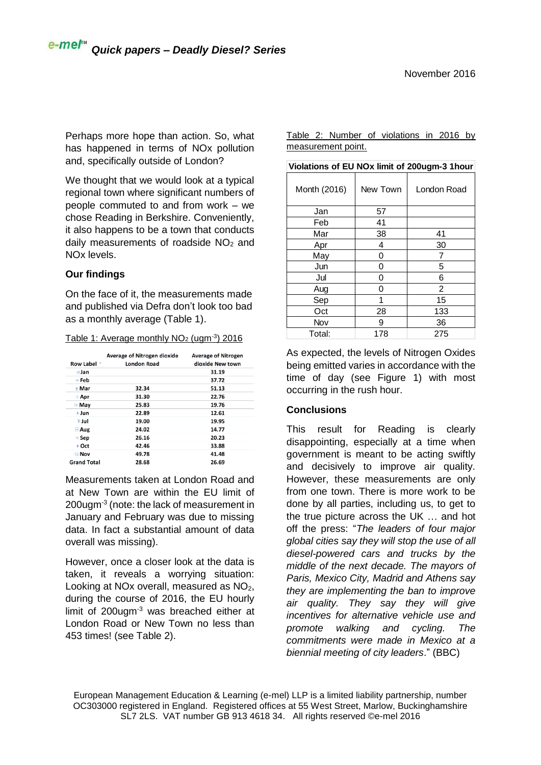Perhaps more hope than action. So, what has happened in terms of NOx pollution and, specifically outside of London?

We thought that we would look at a typical regional town where significant numbers of people commuted to and from work – we chose Reading in Berkshire. Conveniently, it also happens to be a town that conducts daily measurements of roadside  $NO<sub>2</sub>$  and NOx levels.

### **Our findings**

On the face of it, the measurements made and published via Defra don't look too bad as a monthly average (Table 1).

| Table 1: Average monthly $NO2$ (ugm <sup>-3</sup> ) 2016 |
|----------------------------------------------------------|
|----------------------------------------------------------|

|                        | <b>Average of Nitrogen dioxide</b> | <b>Average of Nitrogen</b> |
|------------------------|------------------------------------|----------------------------|
| Row Label <sup>▼</sup> | <b>London Road</b>                 | dioxide New town           |
| $+$ Jan                |                                    | 31.19                      |
| $+$ Feb                |                                    | 37.72                      |
| $+$ Mar                | 32.34                              | 51.13                      |
| $\pm$ Apr              | 31.30                              | 22.76                      |
| $\pm$ May              | 25.83                              | 19.76                      |
| $+$ Jun                | 22.89                              | 12.61                      |
| + Jul                  | 19.00                              | 19.95                      |
| $+$ Aug                | 24.02                              | 14.77                      |
| $+$ Sep                | 26.16                              | 20.23                      |
| $+$ Oct                | 42.46                              | 33.88                      |
| $+$ Nov                | 49.78                              | 41.48                      |
| <b>Grand Total</b>     | 28.68                              | 26.69                      |

Measurements taken at London Road and at New Town are within the EU limit of 200ugm<sup>-3</sup> (note: the lack of measurement in January and February was due to missing data. In fact a substantial amount of data overall was missing).

However, once a closer look at the data is taken, it reveals a worrying situation: Looking at NO<sub>x</sub> overall, measured as  $NO<sub>2</sub>$ , during the course of 2016, the EU hourly limit of 200ugm-3 was breached either at London Road or New Town no less than 453 times! (see Table 2).

Table 2: Number of violations in 2016 by measurement point.

| Violations of EU NOx limit of 200ugm-3 1hour |          |             |  |  |
|----------------------------------------------|----------|-------------|--|--|
| Month (2016)                                 | New Town | London Road |  |  |
| Jan                                          | 57       |             |  |  |
| Feb                                          | 41       |             |  |  |
| Mar                                          | 38       | 41          |  |  |
| Apr                                          | 4        | 30          |  |  |
| May                                          | 0        |             |  |  |
| Jun                                          | 0        | 5           |  |  |
| Jul                                          | 0        | 6           |  |  |
| Aug                                          | 0        | 2           |  |  |
| Sep                                          | 1        | 15          |  |  |
| Oct                                          | 28       | 133         |  |  |
| Nov                                          | 9        | 36          |  |  |
| Total:                                       | 178      | 275         |  |  |

As expected, the levels of Nitrogen Oxides being emitted varies in accordance with the time of day (see Figure 1) with most occurring in the rush hour.

### **Conclusions**

This result for Reading is clearly disappointing, especially at a time when government is meant to be acting swiftly and decisively to improve air quality. However, these measurements are only from one town. There is more work to be done by all parties, including us, to get to the true picture across the UK … and hot off the press: "*The leaders of four major global cities say they will stop the use of all diesel-powered cars and trucks by the middle of the next decade. The mayors of Paris, Mexico City, Madrid and Athens say they are implementing the ban to improve air quality. They say they will give incentives for alternative vehicle use and promote walking and cycling. The commitments were made in Mexico at a biennial meeting of city leaders*." (BBC)